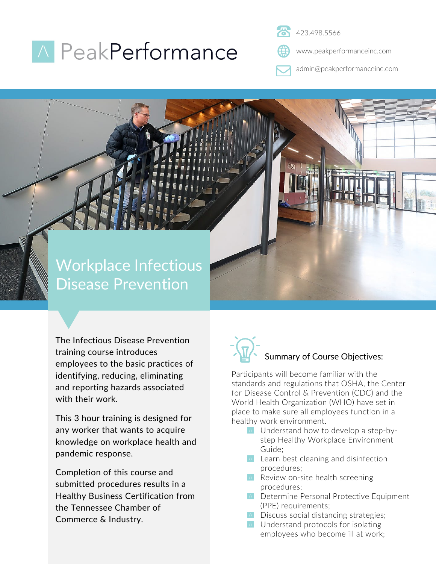## **A** PeakPerformance

423.498.5566

www.peakperformanceinc.com

admin@peakperformanceinc.com

### Workplace Infectious Disease Prevention

The Infectious Disease Prevention training course introduces employees to the basic practices of identifying, reducing, eliminating and reporting hazards associated with their work.

This 3 hour training is designed for any worker that wants to acquire knowledge on workplace health and pandemic response.

Completion of this course and submitted procedures results in a Healthy Business Certification from the Tennessee Chamber of Commerce & Industry.

# Summary of Course Objectives:

Participants will become familiar with the standards and regulations that OSHA, the Center for Disease Control & Prevention (CDC) and the World Health Organization (WHO) have set in place to make sure all employees function in a healthy work environment.

- **A** Understand how to develop a step-bystep Healthy Workplace Environment Guide;
- $\triangle$  Learn best cleaning and disinfection procedures;
- $\wedge$  Review on-site health screening procedures;
- **A** Determine Personal Protective Equipment (PPE) requirements;
- $\wedge$  Discuss social distancing strategies;
- **A** Understand protocols for isolating employees who become ill at work;